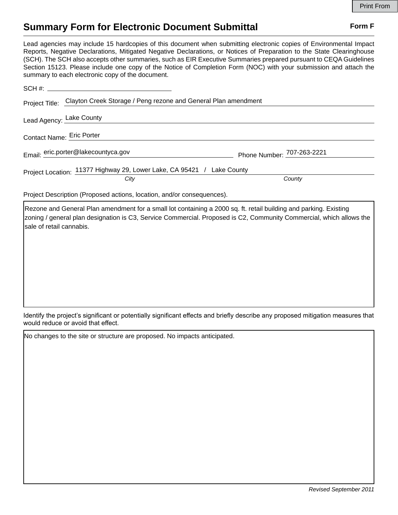## **Summary Form for Electronic Document Submittal Form F Form F**

Lead agencies may include 15 hardcopies of this document when submitting electronic copies of Environmental Impact Reports, Negative Declarations, Mitigated Negative Declarations, or Notices of Preparation to the State Clearinghouse (SCH). The SCH also accepts other summaries, such as EIR Executive Summaries prepared pursuant to CEQA Guidelines Section 15123. Please include one copy of the Notice of Completion Form (NOC) with your submission and attach the summary to each electronic copy of the document.

| Project Title: Clayton Creek Storage / Peng rezone and General Plan amendment |                            |
|-------------------------------------------------------------------------------|----------------------------|
| Lead Agency: Lake County                                                      |                            |
| Contact Name: Eric Porter                                                     |                            |
| Email: eric.porter@lakecountyca.gov                                           | Phone Number: 707-263-2221 |
| Project Location: 11377 Highway 29, Lower Lake, CA 95421 / Lake County        |                            |
| City                                                                          | County                     |

Project Description (Proposed actions, location, and/or consequences).

Rezone and General Plan amendment for a small lot containing a 2000 sq. ft. retail building and parking. Existing zoning / general plan designation is C3, Service Commercial. Proposed is C2, Community Commercial, which allows the sale of retail cannabis.

Identify the project's significant or potentially significant effects and briefly describe any proposed mitigation measures that would reduce or avoid that effect.

No changes to the site or structure are proposed. No impacts anticipated.